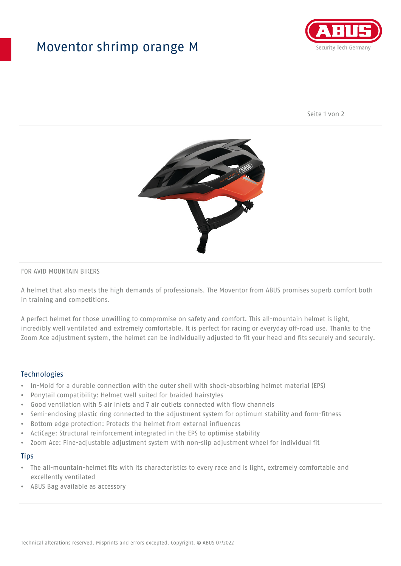## Moventor shrimp orange M



Seite 1 von 2



#### FOR AVID MOUNTAIN BIKERS

A helmet that also meets the high demands of professionals. The Moventor from ABUS promises superb comfort both in training and competitions.

A perfect helmet for those unwilling to compromise on safety and comfort. This all-mountain helmet is light, incredibly well ventilated and extremely comfortable. It is perfect for racing or everyday off-road use. Thanks to the Zoom Ace adjustment system, the helmet can be individually adjusted to fit your head and fits securely and securely.

#### **Technologies**

- In-Mold for a durable connection with the outer shell with shock-absorbing helmet material (EPS)
- Ponytail compatibility: Helmet well suited for braided hairstyles
- Good ventilation with 5 air inlets and 7 air outlets connected with flow channels
- Semi-enclosing plastic ring connected to the adjustment system for optimum stability and form-fitness
- Bottom edge protection: Protects the helmet from external influences
- ActiCage: Structural reinforcement integrated in the EPS to optimise stability
- Zoom Ace: Fine-adjustable adjustment system with non-slip adjustment wheel for individual fit

#### **Tips**

- The all-mountain-helmet fits with its characteristics to every race and is light, extremely comfortable and excellently ventilated
- ABUS Bag available as accessory